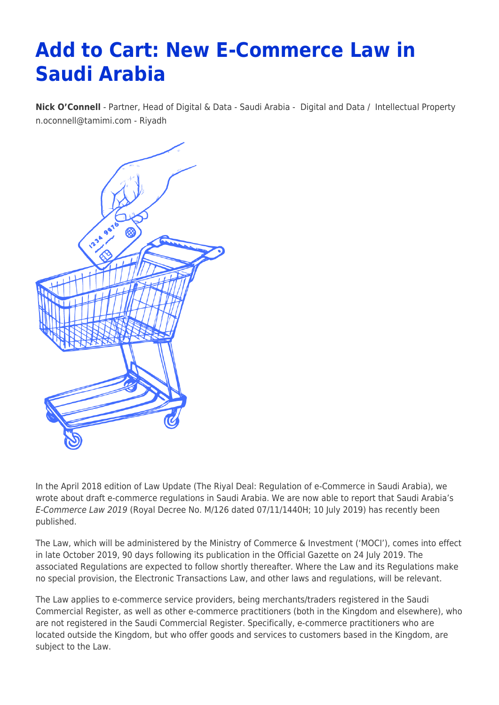# **Add to Cart: New E-Commerce Law in Saudi Arabia**

**[Nick O'Connell](https://www.tamimi.com/find-a-lawyer/nick-oconnell/)** - Partner, Head of Digital & Data - Saudi Arabia - [Digital and Data](https://www.tamimi.com/client-services/practices/digital-data/) / [Intellectual Property](https://www.tamimi.com/client-services/practices/intellectual-property/) [n.oconnell@tamimi.com](mailto:n.oconnell@tamimi.com) - [Riyadh](https://www.tamimi.com/locations/saudi-arabia/)



In the April 2018 edition of Law Update (The Riyal Deal: Regulation of e-Commerce in Saudi Arabia), we wrote about draft e-commerce regulations in Saudi Arabia. We are now able to report that Saudi Arabia's E-Commerce Law 2019 (Royal Decree No. M/126 dated 07/11/1440H; 10 July 2019) has recently been published.

The Law, which will be administered by the Ministry of Commerce & Investment ('MOCI'), comes into effect in late October 2019, 90 days following its publication in the Official Gazette on 24 July 2019. The associated Regulations are expected to follow shortly thereafter. Where the Law and its Regulations make no special provision, the Electronic Transactions Law, and other laws and regulations, will be relevant.

The Law applies to e-commerce service providers, being merchants/traders registered in the Saudi Commercial Register, as well as other e-commerce practitioners (both in the Kingdom and elsewhere), who are not registered in the Saudi Commercial Register. Specifically, e-commerce practitioners who are located outside the Kingdom, but who offer goods and services to customers based in the Kingdom, are subject to the Law.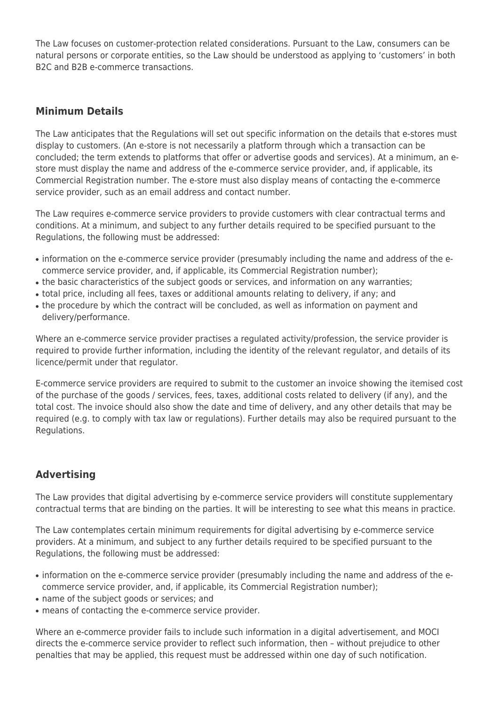The Law focuses on customer-protection related considerations. Pursuant to the Law, consumers can be natural persons or corporate entities, so the Law should be understood as applying to 'customers' in both B2C and B2B e-commerce transactions.

#### **Minimum Details**

The Law anticipates that the Regulations will set out specific information on the details that e-stores must display to customers. (An e-store is not necessarily a platform through which a transaction can be concluded; the term extends to platforms that offer or advertise goods and services). At a minimum, an estore must display the name and address of the e-commerce service provider, and, if applicable, its Commercial Registration number. The e-store must also display means of contacting the e-commerce service provider, such as an email address and contact number.

The Law requires e-commerce service providers to provide customers with clear contractual terms and conditions. At a minimum, and subject to any further details required to be specified pursuant to the Regulations, the following must be addressed:

- information on the e-commerce service provider (presumably including the name and address of the ecommerce service provider, and, if applicable, its Commercial Registration number);
- the basic characteristics of the subject goods or services, and information on any warranties;
- total price, including all fees, taxes or additional amounts relating to delivery, if any; and
- the procedure by which the contract will be concluded, as well as information on payment and delivery/performance.

Where an e-commerce service provider practises a regulated activity/profession, the service provider is required to provide further information, including the identity of the relevant regulator, and details of its licence/permit under that regulator.

E-commerce service providers are required to submit to the customer an invoice showing the itemised cost of the purchase of the goods / services, fees, taxes, additional costs related to delivery (if any), and the total cost. The invoice should also show the date and time of delivery, and any other details that may be required (e.g. to comply with tax law or regulations). Further details may also be required pursuant to the Regulations.

## **Advertising**

The Law provides that digital advertising by e-commerce service providers will constitute supplementary contractual terms that are binding on the parties. It will be interesting to see what this means in practice.

The Law contemplates certain minimum requirements for digital advertising by e-commerce service providers. At a minimum, and subject to any further details required to be specified pursuant to the Regulations, the following must be addressed:

- information on the e-commerce service provider (presumably including the name and address of the ecommerce service provider, and, if applicable, its Commercial Registration number);
- name of the subject goods or services; and
- means of contacting the e-commerce service provider.

Where an e-commerce provider fails to include such information in a digital advertisement, and MOCI directs the e-commerce service provider to reflect such information, then – without prejudice to other penalties that may be applied, this request must be addressed within one day of such notification.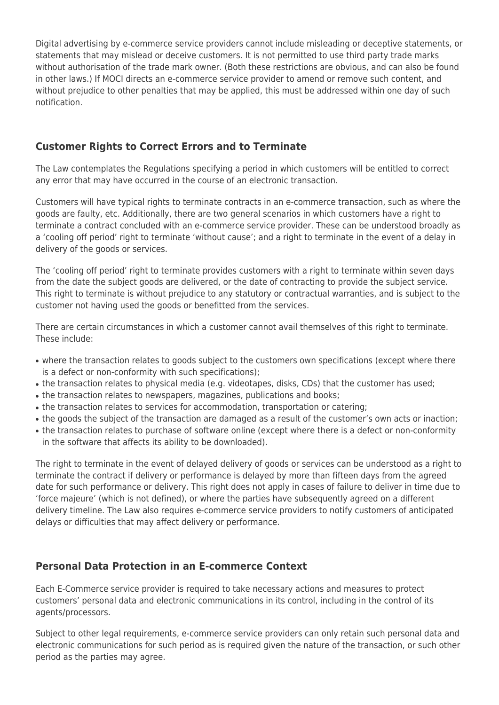Digital advertising by e-commerce service providers cannot include misleading or deceptive statements, or statements that may mislead or deceive customers. It is not permitted to use third party trade marks without authorisation of the trade mark owner. (Both these restrictions are obvious, and can also be found in other laws.) If MOCI directs an e-commerce service provider to amend or remove such content, and without prejudice to other penalties that may be applied, this must be addressed within one day of such notification.

# **Customer Rights to Correct Errors and to Terminate**

The Law contemplates the Regulations specifying a period in which customers will be entitled to correct any error that may have occurred in the course of an electronic transaction.

Customers will have typical rights to terminate contracts in an e-commerce transaction, such as where the goods are faulty, etc. Additionally, there are two general scenarios in which customers have a right to terminate a contract concluded with an e-commerce service provider. These can be understood broadly as a 'cooling off period' right to terminate 'without cause'; and a right to terminate in the event of a delay in delivery of the goods or services.

The 'cooling off period' right to terminate provides customers with a right to terminate within seven days from the date the subject goods are delivered, or the date of contracting to provide the subject service. This right to terminate is without prejudice to any statutory or contractual warranties, and is subject to the customer not having used the goods or benefitted from the services.

There are certain circumstances in which a customer cannot avail themselves of this right to terminate. These include:

- where the transaction relates to goods subject to the customers own specifications (except where there is a defect or non-conformity with such specifications);
- the transaction relates to physical media (e.g. videotapes, disks, CDs) that the customer has used;
- the transaction relates to newspapers, magazines, publications and books;
- the transaction relates to services for accommodation, transportation or catering;
- the goods the subject of the transaction are damaged as a result of the customer's own acts or inaction;
- the transaction relates to purchase of software online (except where there is a defect or non-conformity in the software that affects its ability to be downloaded).

The right to terminate in the event of delayed delivery of goods or services can be understood as a right to terminate the contract if delivery or performance is delayed by more than fifteen days from the agreed date for such performance or delivery. This right does not apply in cases of failure to deliver in time due to 'force majeure' (which is not defined), or where the parties have subsequently agreed on a different delivery timeline. The Law also requires e-commerce service providers to notify customers of anticipated delays or difficulties that may affect delivery or performance.

## **Personal Data Protection in an E-commerce Context**

Each E-Commerce service provider is required to take necessary actions and measures to protect customers' personal data and electronic communications in its control, including in the control of its agents/processors.

Subject to other legal requirements, e-commerce service providers can only retain such personal data and electronic communications for such period as is required given the nature of the transaction, or such other period as the parties may agree.